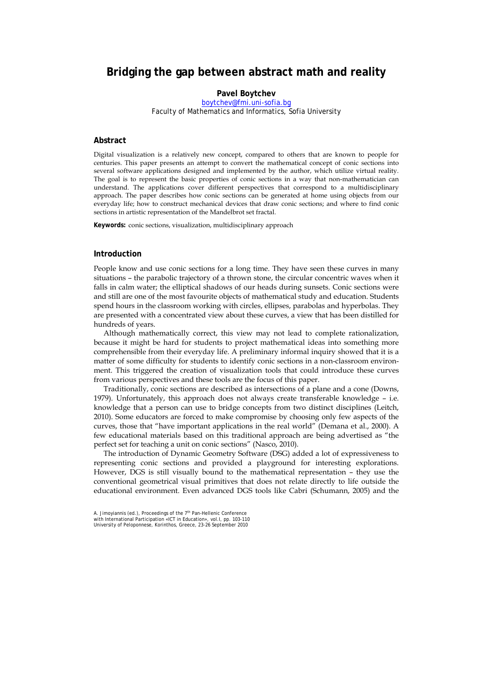# **Bridging the gap between abstract math and reality**

**Pavel Boytchev** 

boytchev@fmi.uni-sofia.bg Faculty of Mathematics and Informatics, Sofia University

## **Abstract**

Digital visualization is a relatively new concept, compared to others that are known to people for centuries. This paper presents an attempt to convert the mathematical concept of conic sections into several software applications designed and implemented by the author, which utilize virtual reality. The goal is to represent the basic properties of conic sections in a way that non-mathematician can understand. The applications cover different perspectives that correspond to a multidisciplinary approach. The paper describes how conic sections can be generated at home using objects from our everyday life; how to construct mechanical devices that draw conic sections; and where to find conic sections in artistic representation of the Mandelbrot set fractal.

**Keywords:** conic sections, visualization, multidisciplinary approach

### **Introduction**

People know and use conic sections for a long time. They have seen these curves in many situations – the parabolic trajectory of a thrown stone, the circular concentric waves when it falls in calm water; the elliptical shadows of our heads during sunsets. Conic sections were and still are one of the most favourite objects of mathematical study and education. Students spend hours in the classroom working with circles, ellipses, parabolas and hyperbolas. They are presented with a concentrated view about these curves, a view that has been distilled for hundreds of years.

Although mathematically correct, this view may not lead to complete rationalization, because it might be hard for students to project mathematical ideas into something more comprehensible from their everyday life. A preliminary informal inquiry showed that it is a matter of some difficulty for students to identify conic sections in a non-classroom environment. This triggered the creation of visualization tools that could introduce these curves from various perspectives and these tools are the focus of this paper.

Traditionally, conic sections are described as intersections of a plane and a cone (Downs, 1979). Unfortunately, this approach does not always create transferable knowledge – i.e. knowledge that a person can use to bridge concepts from two distinct disciplines (Leitch, 2010). Some educators are forced to make compromise by choosing only few aspects of the curves, those that "have important applications in the real world" (Demana et al., 2000). A few educational materials based on this traditional approach are being advertised as "the perfect set for teaching a unit on conic sections" (Nasco, 2010).

The introduction of Dynamic Geometry Software (DSG) added a lot of expressiveness to representing conic sections and provided a playground for interesting explorations. However, DGS is still visually bound to the mathematical representation – they use the conventional geometrical visual primitives that does not relate directly to life outside the educational environment. Even advanced DGS tools like Cabri (Schumann, 2005) and the

A. Jimoyiannis (ed.), Proceedings of the 7<sup>th</sup> Pan-Hellenic Conference with International Participation «ICT in Education», vol.I, pp. 103-110 University of Peloponnese, Korinthos, Greece, 23-26 September 2010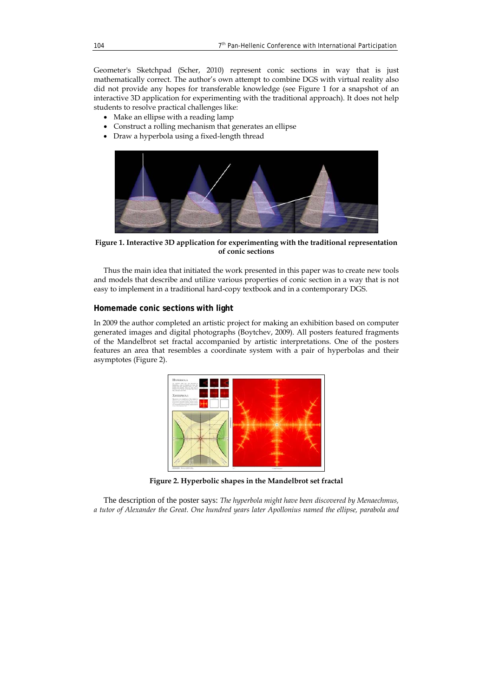Geometer's Sketchpad (Scher, 2010) represent conic sections in way that is just mathematically correct. The author's own attempt to combine DGS with virtual reality also did not provide any hopes for transferable knowledge (see Figure 1 for a snapshot of an interactive 3D application for experimenting with the traditional approach). It does not help students to resolve practical challenges like:

- Make an ellipse with a reading lamp
- Construct a rolling mechanism that generates an ellipse
- Draw a hyperbola using a fixed-length thread



**Figure 1. Interactive 3D application for experimenting with the traditional representation of conic sections** 

Thus the main idea that initiated the work presented in this paper was to create new tools and models that describe and utilize various properties of conic section in a way that is not easy to implement in a traditional hard-copy textbook and in a contemporary DGS.

#### **Homemade conic sections with light**

In 2009 the author completed an artistic project for making an exhibition based on computer generated images and digital photographs (Boytchev, 2009). All posters featured fragments of the Mandelbrot set fractal accompanied by artistic interpretations. One of the posters features an area that resembles a coordinate system with a pair of hyperbolas and their asymptotes (Figure 2).



**Figure 2. Hyperbolic shapes in the Mandelbrot set fractal** 

The description of the poster says: *The hyperbola might have been discovered by Menaechmus, a tutor of Alexander the Great. One hundred years later Apollonius named the ellipse, parabola and*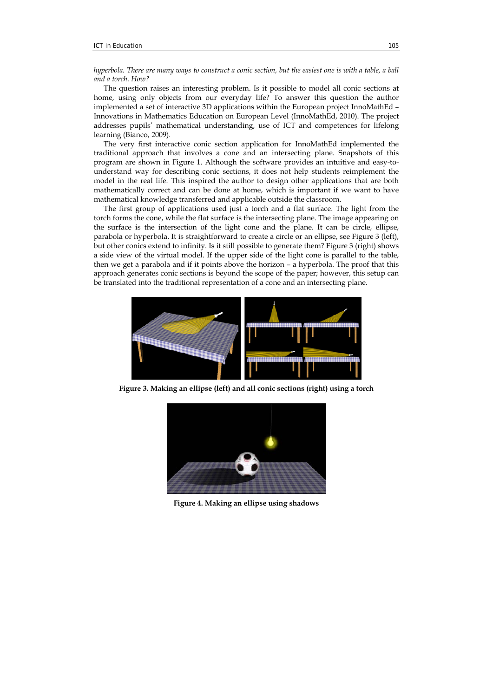*hyperbola. There are many ways to construct a conic section, but the easiest one is with a table, a ball and a torch. How?*

The question raises an interesting problem. Is it possible to model all conic sections at home, using only objects from our everyday life? To answer this question the author implemented a set of interactive 3D applications within the European project InnoMathEd – Innovations in Mathematics Education on European Level (InnoMathEd, 2010). The project addresses pupils' mathematical understanding, use of ICT and competences for lifelong learning (Bianco, 2009).

The very first interactive conic section application for InnoMathEd implemented the traditional approach that involves a cone and an intersecting plane. Snapshots of this program are shown in Figure 1. Although the software provides an intuitive and easy-tounderstand way for describing conic sections, it does not help students reimplement the model in the real life. This inspired the author to design other applications that are both mathematically correct and can be done at home, which is important if we want to have mathematical knowledge transferred and applicable outside the classroom.

The first group of applications used just a torch and a flat surface. The light from the torch forms the cone, while the flat surface is the intersecting plane. The image appearing on the surface is the intersection of the light cone and the plane. It can be circle, ellipse, parabola or hyperbola. It is straightforward to create a circle or an ellipse, see Figure 3 (left), but other conics extend to infinity. Is it still possible to generate them? Figure 3 (right) shows a side view of the virtual model. If the upper side of the light cone is parallel to the table, then we get a parabola and if it points above the horizon – a hyperbola. The proof that this approach generates conic sections is beyond the scope of the paper; however, this setup can be translated into the traditional representation of a cone and an intersecting plane.



**Figure 3. Making an ellipse (left) and all conic sections (right) using a torch** 



**Figure 4. Making an ellipse using shadows**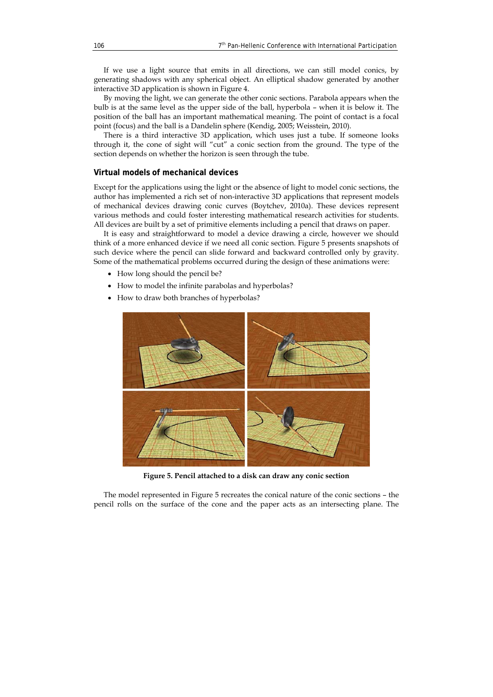If we use a light source that emits in all directions, we can still model conics, by generating shadows with any spherical object. An elliptical shadow generated by another interactive 3D application is shown in Figure 4.

By moving the light, we can generate the other conic sections. Parabola appears when the bulb is at the same level as the upper side of the ball, hyperbola – when it is below it. The position of the ball has an important mathematical meaning. The point of contact is a focal point (focus) and the ball is a Dandelin sphere (Kendig, 2005; Weisstein, 2010).

There is a third interactive 3D application, which uses just a tube. If someone looks through it, the cone of sight will "cut" a conic section from the ground. The type of the section depends on whether the horizon is seen through the tube.

## **Virtual models of mechanical devices**

Except for the applications using the light or the absence of light to model conic sections, the author has implemented a rich set of non-interactive 3D applications that represent models of mechanical devices drawing conic curves (Boytchev, 2010a). These devices represent various methods and could foster interesting mathematical research activities for students. All devices are built by a set of primitive elements including a pencil that draws on paper.

It is easy and straightforward to model a device drawing a circle, however we should think of a more enhanced device if we need all conic section. Figure 5 presents snapshots of such device where the pencil can slide forward and backward controlled only by gravity. Some of the mathematical problems occurred during the design of these animations were:

- How long should the pencil be?
- How to model the infinite parabolas and hyperbolas?
- How to draw both branches of hyperbolas?



**Figure 5. Pencil attached to a disk can draw any conic section** 

The model represented in Figure 5 recreates the conical nature of the conic sections – the pencil rolls on the surface of the cone and the paper acts as an intersecting plane. The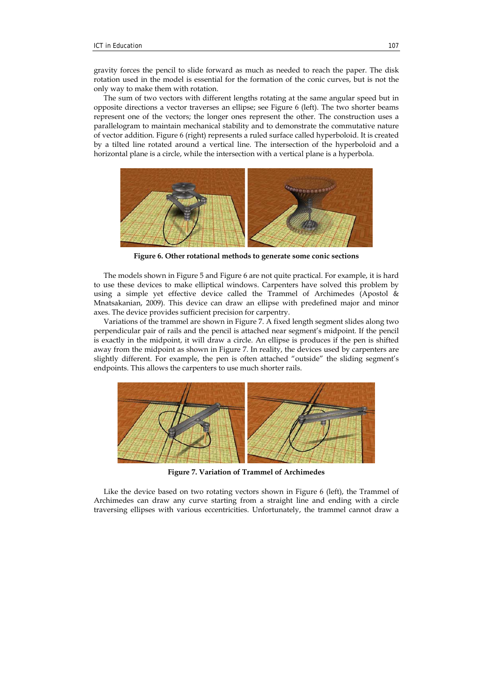gravity forces the pencil to slide forward as much as needed to reach the paper. The disk rotation used in the model is essential for the formation of the conic curves, but is not the only way to make them with rotation.

The sum of two vectors with different lengths rotating at the same angular speed but in opposite directions a vector traverses an ellipse; see Figure 6 (left). The two shorter beams represent one of the vectors; the longer ones represent the other. The construction uses a parallelogram to maintain mechanical stability and to demonstrate the commutative nature of vector addition. Figure 6 (right) represents a ruled surface called hyperboloid. It is created by a tilted line rotated around a vertical line. The intersection of the hyperboloid and a horizontal plane is a circle, while the intersection with a vertical plane is a hyperbola.



**Figure 6. Other rotational methods to generate some conic sections** 

The models shown in Figure 5 and Figure 6 are not quite practical. For example, it is hard to use these devices to make elliptical windows. Carpenters have solved this problem by using a simple yet effective device called the Trammel of Archimedes (Apostol & Mnatsakanian, 2009). This device can draw an ellipse with predefined major and minor axes. The device provides sufficient precision for carpentry.

Variations of the trammel are shown in Figure 7. A fixed length segment slides along two perpendicular pair of rails and the pencil is attached near segment's midpoint. If the pencil is exactly in the midpoint, it will draw a circle. An ellipse is produces if the pen is shifted away from the midpoint as shown in Figure 7. In reality, the devices used by carpenters are slightly different. For example, the pen is often attached "outside" the sliding segment's endpoints. This allows the carpenters to use much shorter rails.



**Figure 7. Variation of Trammel of Archimedes** 

Like the device based on two rotating vectors shown in Figure 6 (left), the Trammel of Archimedes can draw any curve starting from a straight line and ending with a circle traversing ellipses with various eccentricities. Unfortunately, the trammel cannot draw a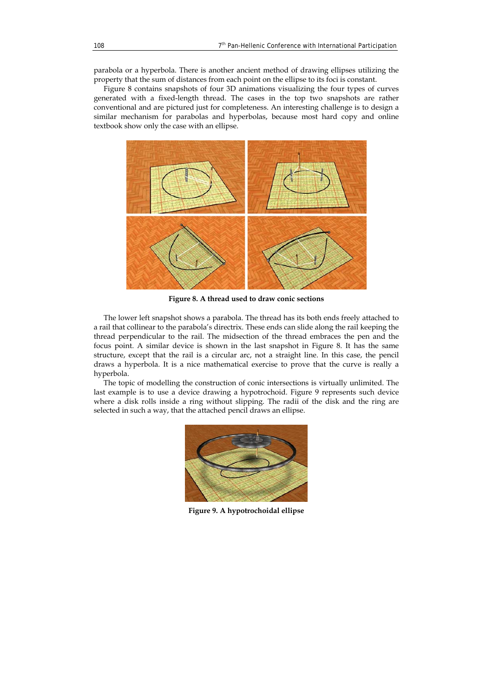parabola or a hyperbola. There is another ancient method of drawing ellipses utilizing the property that the sum of distances from each point on the ellipse to its foci is constant.

Figure 8 contains snapshots of four 3D animations visualizing the four types of curves generated with a fixed-length thread. The cases in the top two snapshots are rather conventional and are pictured just for completeness. An interesting challenge is to design a similar mechanism for parabolas and hyperbolas, because most hard copy and online textbook show only the case with an ellipse.



**Figure 8. A thread used to draw conic sections** 

The lower left snapshot shows a parabola. The thread has its both ends freely attached to a rail that collinear to the parabola's directrix. These ends can slide along the rail keeping the thread perpendicular to the rail. The midsection of the thread embraces the pen and the focus point. A similar device is shown in the last snapshot in Figure 8. It has the same structure, except that the rail is a circular arc, not a straight line. In this case, the pencil draws a hyperbola. It is a nice mathematical exercise to prove that the curve is really a hyperbola.

The topic of modelling the construction of conic intersections is virtually unlimited. The last example is to use a device drawing a hypotrochoid. Figure 9 represents such device where a disk rolls inside a ring without slipping. The radii of the disk and the ring are selected in such a way, that the attached pencil draws an ellipse.



**Figure 9. A hypotrochoidal ellipse**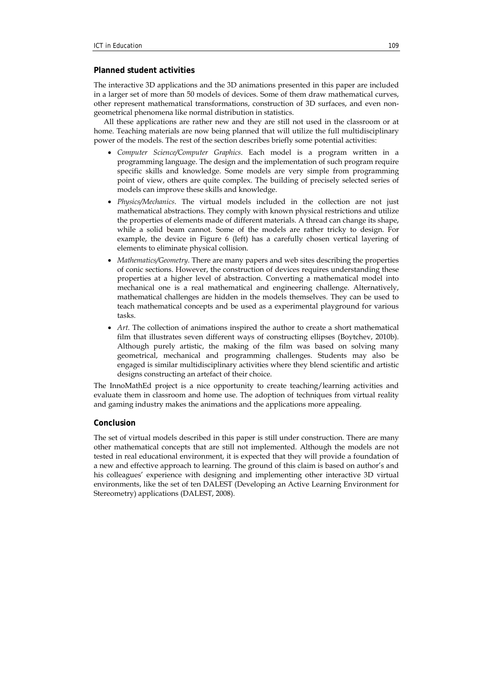# **Planned student activities**

The interactive 3D applications and the 3D animations presented in this paper are included in a larger set of more than 50 models of devices. Some of them draw mathematical curves, other represent mathematical transformations, construction of 3D surfaces, and even nongeometrical phenomena like normal distribution in statistics.

All these applications are rather new and they are still not used in the classroom or at home. Teaching materials are now being planned that will utilize the full multidisciplinary power of the models. The rest of the section describes briefly some potential activities:

- *Computer Science/Computer Graphics*. Each model is a program written in a programming language. The design and the implementation of such program require specific skills and knowledge. Some models are very simple from programming point of view, others are quite complex. The building of precisely selected series of models can improve these skills and knowledge.
- *Physics/Mechanics*. The virtual models included in the collection are not just mathematical abstractions. They comply with known physical restrictions and utilize the properties of elements made of different materials. A thread can change its shape, while a solid beam cannot. Some of the models are rather tricky to design. For example, the device in Figure 6 (left) has a carefully chosen vertical layering of elements to eliminate physical collision.
- *Mathematics/Geometry*. There are many papers and web sites describing the properties of conic sections. However, the construction of devices requires understanding these properties at a higher level of abstraction. Converting a mathematical model into mechanical one is a real mathematical and engineering challenge. Alternatively, mathematical challenges are hidden in the models themselves. They can be used to teach mathematical concepts and be used as a experimental playground for various tasks.
- *Art*. The collection of animations inspired the author to create a short mathematical film that illustrates seven different ways of constructing ellipses (Boytchev, 2010b). Although purely artistic, the making of the film was based on solving many geometrical, mechanical and programming challenges. Students may also be engaged is similar multidisciplinary activities where they blend scientific and artistic designs constructing an artefact of their choice.

The InnoMathEd project is a nice opportunity to create teaching/learning activities and evaluate them in classroom and home use. The adoption of techniques from virtual reality and gaming industry makes the animations and the applications more appealing.

# **Conclusion**

The set of virtual models described in this paper is still under construction. There are many other mathematical concepts that are still not implemented. Although the models are not tested in real educational environment, it is expected that they will provide a foundation of a new and effective approach to learning. The ground of this claim is based on author's and his colleagues' experience with designing and implementing other interactive 3D virtual environments, like the set of ten DALEST (Developing an Active Learning Environment for Stereometry) applications (DALEST, 2008).